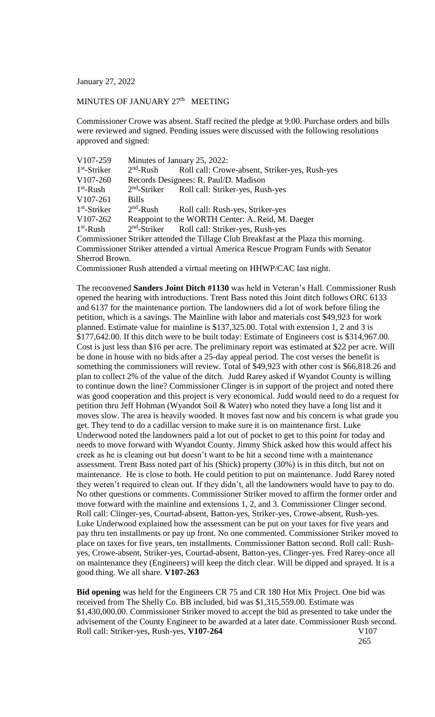January 27, 2022

## MINUTES OF JANUARY 27<sup>th</sup> MEETING

Commissioner Crowe was absent. Staff recited the pledge at 9:00. Purchase orders and bills were reviewed and signed. Pending issues were discussed with the following resolutions approved and signed:

| V107-259                                                                            | Minutes of January 25, 2022:                      |                                                |
|-------------------------------------------------------------------------------------|---------------------------------------------------|------------------------------------------------|
| $1st$ -Striker                                                                      | $2nd$ -Rush                                       | Roll call: Crowe-absent, Striker-yes, Rush-yes |
| V107-260                                                                            | Records Designees: R. Paul/D. Madison             |                                                |
| $1st$ -Rush                                                                         | $2nd$ -Striker                                    | Roll call: Striker-yes, Rush-yes               |
| V107-261                                                                            | <b>Bills</b>                                      |                                                |
| $1st$ -Striker                                                                      | $2nd$ -Rush                                       | Roll call: Rush-yes, Striker-yes               |
| V107-262                                                                            | Reappoint to the WORTH Center: A. Reid, M. Daeger |                                                |
| $1st$ -Rush                                                                         | $2nd$ -Striker                                    | Roll call: Striker-yes, Rush-yes               |
| Commissioner Striker attended the Tillage Club Breakfast at the Plaza this morning. |                                                   |                                                |
| Commissioner Striker attended a virtual America Rescue Program Funds with Senator   |                                                   |                                                |
| Sherrod Brown.                                                                      |                                                   |                                                |
| Commissioner Rush attended a virtual meeting on HHWP/CAC last night.                |                                                   |                                                |

The reconvened **Sanders Joint Ditch #1130** was held in Veteran's Hall. Commissioner Rush opened the hearing with introductions. Trent Bass noted this Joint ditch follows ORC 6133 and 6137 for the maintenance portion. The landowners did a lot of work before filing the petition, which is a savings. The Mainline with labor and materials cost \$49,923 for work planned. Estimate value for mainline is \$137,325.00. Total with extension 1, 2 and 3 is \$177,642.00. If this ditch were to be built today: Estimate of Engineers cost is \$314,967.00. Cost is just less than \$16 per acre. The preliminary report was estimated at \$22 per acre. Will be done in house with no bids after a 25-day appeal period. The cost verses the benefit is something the commissioners will review. Total of \$49,923 with other cost is \$66,818.26 and plan to collect 2% of the value of the ditch. Judd Rarey asked if Wyandot County is willing to continue down the line? Commissioner Clinger is in support of the project and noted there was good cooperation and this project is very economical. Judd would need to do a request for petition thru Jeff Hohman (Wyandot Soil & Water) who noted they have a long list and it moves slow. The area is heavily wooded. It moves fast now and his concern is what grade you get. They tend to do a cadillac version to make sure it is on maintenance first. Luke Underwood noted the landowners paid a lot out of pocket to get to this point for today and needs to move forward with Wyandot County. Jimmy Shick asked how this would affect his creek as he is cleaning out but doesn't want to be hit a second time with a maintenance assessment. Trent Bass noted part of his (Shick) property (30%) is in this ditch, but not on maintenance. He is close to both. He could petition to put on maintenance. Judd Rarey noted they weren't required to clean out. If they didn't, all the landowners would have to pay to do. No other questions or comments. Commissioner Striker moved to affirm the former order and move forward with the mainline and extensions 1, 2, and 3. Commissioner Clinger second. Roll call: Clinger-yes, Courtad-absent, Batton-yes, Striker-yes, Crowe-absent, Rush-yes. Luke Underwood explained how the assessment can be put on your taxes for five years and pay thru ten installments or pay up front. No one commented. Commissioner Striker moved to place on taxes for five years, ten installments. Commissioner Batton second. Roll call: Rushyes, Crowe-absent, Striker-yes, Courtad-absent, Batton-yes, Clinger-yes. Fred Rarey-once all on maintenance they (Engineers) will keep the ditch clear. Will be dipped and sprayed. It is a good thing. We all share. **V107-263**

**Bid opening** was held for the Engineers CR 75 and CR 180 Hot Mix Project. One bid was received from The Shelly Co. BB included, bid was \$1,315,559.00. Estimate was \$1,430,000.00. Commissioner Striker moved to accept the bid as presented to take under the advisement of the County Engineer to be awarded at a later date. Commissioner Rush second. Roll call: Striker-yes, Rush-yes, V107-264 V107

265